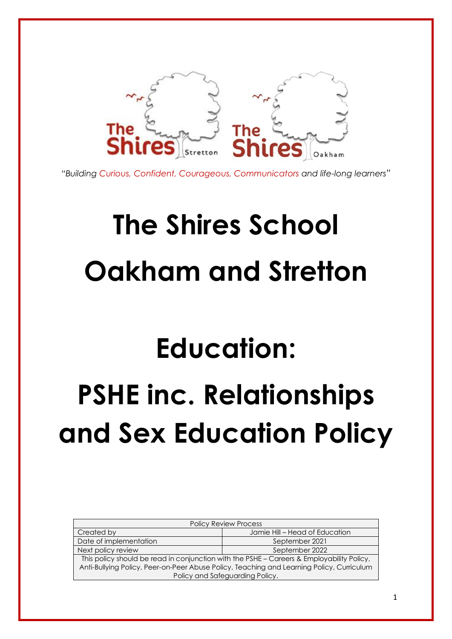

*"Building Curious, Confident, Courageous, Communicators and life-long learners"*

# **The Shires School Oakham and Stretton**

# **Education: PSHE inc. Relationships**

# **and Sex Education Policy**

| <b>Policy Review Process</b>                                                              |                                |  |  |
|-------------------------------------------------------------------------------------------|--------------------------------|--|--|
| Created by                                                                                | Jamie Hill – Head of Education |  |  |
| Date of implementation                                                                    | September 2021                 |  |  |
| Next policy review                                                                        | September 2022                 |  |  |
| This policy should be read in conjunction with the PSHE - Careers & Employability Policy, |                                |  |  |
| Anti-Bullying Policy, Peer-on-Peer Abuse Policy, Teaching and Learning Policy, Curriculum |                                |  |  |
| Policy and Safeguarding Policy.                                                           |                                |  |  |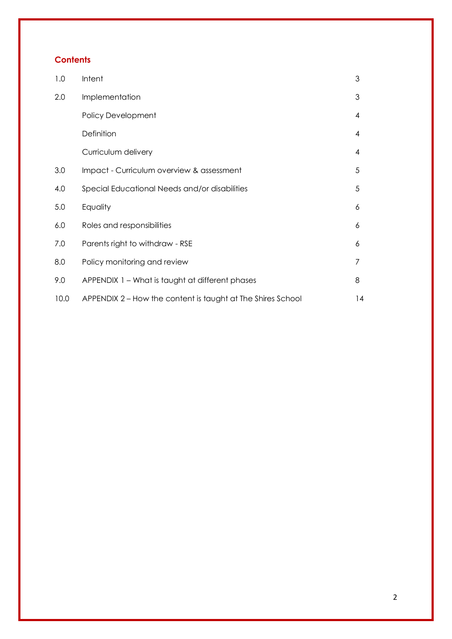# **Contents**

| 1.0  | Intent                                                      | 3  |
|------|-------------------------------------------------------------|----|
| 2.0  | Implementation                                              | 3  |
|      | <b>Policy Development</b>                                   | 4  |
|      | Definition                                                  | 4  |
|      | Curriculum delivery                                         | 4  |
| 3.0  | Impact - Curriculum overview & assessment                   | 5  |
| 4.0  | Special Educational Needs and/or disabilities               | 5  |
| 5.0  | Equality                                                    | 6  |
| 6.0  | Roles and responsibilities                                  | 6  |
| 7.0  | Parents right to withdraw - RSE                             | 6  |
| 8.0  | Policy monitoring and review                                | 7  |
| 9.0  | APPENDIX 1 – What is taught at different phases             | 8  |
| 10.0 | APPENDIX 2 – How the content is taught at The Shires School | 14 |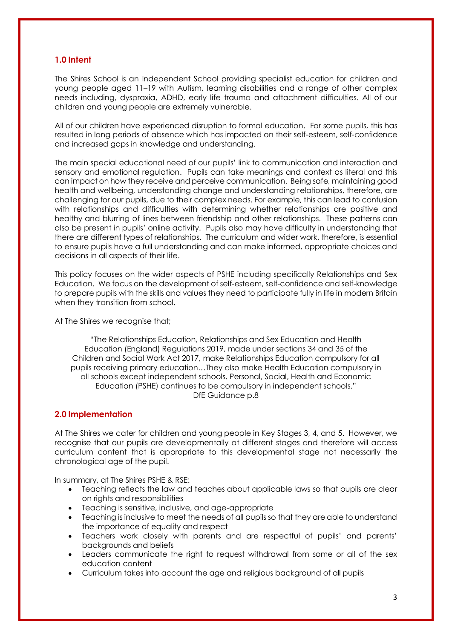# **1.0 Intent**

The Shires School is an Independent School providing specialist education for children and young people aged 11–19 with Autism, learning disabilities and a range of other complex needs including, dyspraxia, ADHD, early life trauma and attachment difficulties. All of our children and young people are extremely vulnerable.

All of our children have experienced disruption to formal education. For some pupils, this has resulted in long periods of absence which has impacted on their self-esteem, self-confidence and increased gaps in knowledge and understanding.

The main special educational need of our pupils' link to communication and interaction and sensory and emotional regulation. Pupils can take meanings and context as literal and this can impact on how they receive and perceive communication. Being safe, maintaining good health and wellbeing, understanding change and understanding relationships, therefore, are challenging for our pupils, due to their complex needs. For example, this can lead to confusion with relationships and difficulties with determining whether relationships are positive and healthy and blurring of lines between friendship and other relationships. These patterns can also be present in pupils' online activity. Pupils also may have difficulty in understanding that there are different types of relationships. The curriculum and wider work, therefore, is essential to ensure pupils have a full understanding and can make informed, appropriate choices and decisions in all aspects of their life.

This policy focuses on the wider aspects of PSHE including specifically Relationships and Sex Education. We focus on the development of self-esteem, self-confidence and self-knowledge to prepare pupils with the skills and values they need to participate fully in life in modern Britain when they transition from school.

At The Shires we recognise that;

"The Relationships Education, Relationships and Sex Education and Health Education (England) Regulations 2019, made under sections 34 and 35 of the Children and Social Work Act 2017, make Relationships Education compulsory for all pupils receiving primary education…They also make Health Education compulsory in all schools except independent schools. Personal, Social, Health and Economic Education (PSHE) continues to be compulsory in independent schools." DfE Guidance p.8

# **2.0 Implementation**

At The Shires we cater for children and young people in Key Stages 3, 4, and 5. However, we recognise that our pupils are developmentally at different stages and therefore will access curriculum content that is appropriate to this developmental stage not necessarily the chronological age of the pupil.

In summary, at The Shires PSHE & RSE:

- Teaching reflects the law and teaches about applicable laws so that pupils are clear on rights and responsibilities
- Teaching is sensitive, inclusive, and age-appropriate
- Teaching is inclusive to meet the needs of all pupils so that they are able to understand the importance of equality and respect
- Teachers work closely with parents and are respectful of pupils' and parents' backgrounds and beliefs
- Leaders communicate the right to request withdrawal from some or all of the sex education content
- Curriculum takes into account the age and religious background of all pupils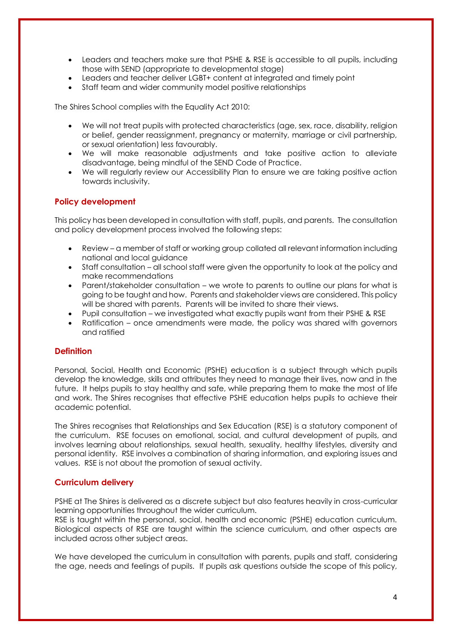- Leaders and teachers make sure that PSHE & RSE is accessible to all pupils, including those with SEND (appropriate to developmental stage)
- Leaders and teacher deliver LGBT+ content at integrated and timely point
- Staff team and wider community model positive relationships

The Shires School complies with the Equality Act 2010:

- We will not treat pupils with protected characteristics (age, sex, race, disability, religion or belief, gender reassignment, pregnancy or maternity, marriage or civil partnership, or sexual orientation) less favourably.
- We will make reasonable adjustments and take positive action to alleviate disadvantage, being mindful of the SEND Code of Practice.
- We will regularly review our Accessibility Plan to ensure we are taking positive action towards inclusivity.

#### **Policy development**

This policy has been developed in consultation with staff, pupils, and parents. The consultation and policy development process involved the following steps:

- Review a member of staff or working group collated all relevant information including national and local guidance
- Staff consultation all school staff were given the opportunity to look at the policy and make recommendations
- Parent/stakeholder consultation we wrote to parents to outline our plans for what is going to be taught and how. Parents and stakeholder views are considered. This policy will be shared with parents. Parents will be invited to share their views.
- Pupil consultation we investigated what exactly pupils want from their PSHE & RSE
- Ratification once amendments were made, the policy was shared with governors and ratified

#### **Definition**

Personal, Social, Health and Economic (PSHE) education is a subject through which pupils develop the knowledge, skills and attributes they need to manage their lives, now and in the future. It helps pupils to stay healthy and safe, while preparing them to make the most of life and work. The Shires recognises that effective PSHE education helps pupils to achieve their academic potential.

The Shires recognises that Relationships and Sex Education (RSE) is a statutory component of the curriculum. RSE focuses on emotional, social, and cultural development of pupils, and involves learning about relationships, sexual health, sexuality, healthy lifestyles, diversity and personal identity. RSE involves a combination of sharing information, and exploring issues and values. RSE is not about the promotion of sexual activity.

#### **Curriculum delivery**

PSHE at The Shires is delivered as a discrete subject but also features heavily in cross-curricular learning opportunities throughout the wider curriculum.

RSE is taught within the personal, social, health and economic (PSHE) education curriculum. Biological aspects of RSE are taught within the science curriculum, and other aspects are included across other subject areas.

We have developed the curriculum in consultation with parents, pupils and staff, considering the age, needs and feelings of pupils. If pupils ask questions outside the scope of this policy,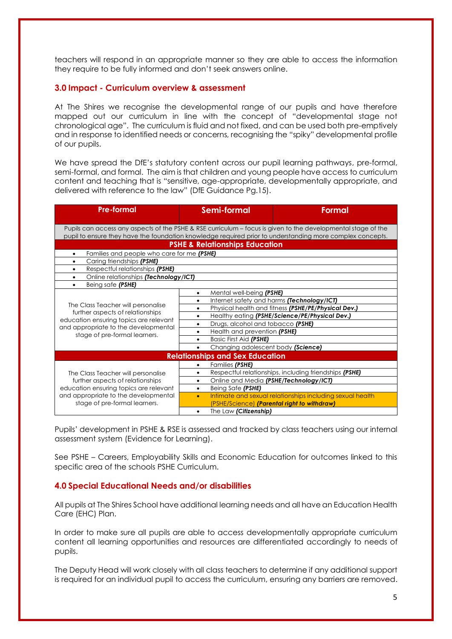teachers will respond in an appropriate manner so they are able to access the information they require to be fully informed and don't seek answers online.

#### **3.0 Impact - Curriculum overview & assessment**

At The Shires we recognise the developmental range of our pupils and have therefore mapped out our curriculum in line with the concept of "developmental stage not chronological age". The curriculum is fluid and not fixed, and can be used both pre-emptively and in response to identified needs or concerns, recognising the "spiky" developmental profile of our pupils.

We have spread the DfE's statutory content across our pupil learning pathways, pre-formal, semi-formal, and formal. The aim is that children and young people have access to curriculum content and teaching that is "sensitive, age-appropriate, developmentally appropriate, and delivered with reference to the law" (DfE Guidance Pg.15).

| <b>Pre-formal</b>                                                                                                                                                                                                          | Semi-formal                                                                                                                                                                                         | Formal                                                                                                                                                             |  |  |  |
|----------------------------------------------------------------------------------------------------------------------------------------------------------------------------------------------------------------------------|-----------------------------------------------------------------------------------------------------------------------------------------------------------------------------------------------------|--------------------------------------------------------------------------------------------------------------------------------------------------------------------|--|--|--|
| Pupils can access any aspects of the PSHE & RSE curriculum – focus is given to the developmental stage of the<br>pupil to ensure they have the foundation knowledge required prior to understanding more complex concepts. |                                                                                                                                                                                                     |                                                                                                                                                                    |  |  |  |
| <b>PSHE &amp; Relationships Education</b>                                                                                                                                                                                  |                                                                                                                                                                                                     |                                                                                                                                                                    |  |  |  |
| Families and people who care for me (PSHE)<br>$\bullet$                                                                                                                                                                    |                                                                                                                                                                                                     |                                                                                                                                                                    |  |  |  |
| Caring friendships (PSHE)<br>$\bullet$                                                                                                                                                                                     |                                                                                                                                                                                                     |                                                                                                                                                                    |  |  |  |
| Respectful relationships (PSHE)                                                                                                                                                                                            |                                                                                                                                                                                                     |                                                                                                                                                                    |  |  |  |
| Online relationships (Technology/ICT)<br>٠                                                                                                                                                                                 |                                                                                                                                                                                                     |                                                                                                                                                                    |  |  |  |
| Being safe (PSHE)<br>٠                                                                                                                                                                                                     |                                                                                                                                                                                                     |                                                                                                                                                                    |  |  |  |
| The Class Teacher will personalise<br>further aspects of relationships<br>education ensuring topics are relevant<br>and appropriate to the developmental<br>stage of pre-formal learners.                                  | Mental well-being (PSHE)<br>٠<br>٠<br>٠<br>Drugs, alcohol and tobacco (PSHE)<br>٠<br>Health and prevention (PSHE)<br>$\bullet$<br>Basic First Aid (PSHE)<br>٠<br>Changing adolescent body (Science) | Internet safety and harms (Technology/ICT)<br>Physical health and fitness (PSHE/PE/Physical Dev.)<br>Healthy eating (PSHE/Science/PE/Physical Dev.)                |  |  |  |
| <b>Relationships and Sex Education</b>                                                                                                                                                                                     |                                                                                                                                                                                                     |                                                                                                                                                                    |  |  |  |
| The Class Teacher will personalise<br>further aspects of relationships<br>education ensuring topics are relevant<br>and appropriate to the developmental<br>stage of pre-formal learners.                                  | Families (PSHE)<br>٠<br>Online and Media (PSHE/Technology/ICT)<br>٠<br>Being Safe (PSHE)<br>$\bullet$<br>$\bullet$<br>The Law (Citizenship)<br>$\bullet$                                            | Respectful relationships, including friendships (PSHE)<br>Intimate and sexual relationships including sexual health<br>(PSHE/Science) (Parental right to withdraw) |  |  |  |

Pupils' development in PSHE & RSE is assessed and tracked by class teachers using our internal assessment system (Evidence for Learning).

See PSHE – Careers, Employability Skills and Economic Education for outcomes linked to this specific area of the schools PSHE Curriculum.

#### **4.0 Special Educational Needs and/or disabilities**

All pupils at The Shires School have additional learning needs and all have an Education Health Care (EHC) Plan.

In order to make sure all pupils are able to access developmentally appropriate curriculum content all learning opportunities and resources are differentiated accordingly to needs of pupils.

The Deputy Head will work closely with all class teachers to determine if any additional support is required for an individual pupil to access the curriculum, ensuring any barriers are removed.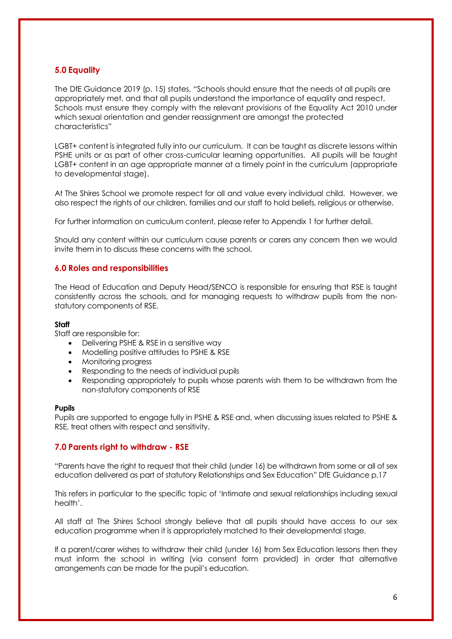# **5.0 Equality**

The DfE Guidance 2019 (p. 15) states, "Schools should ensure that the needs of all pupils are appropriately met, and that all pupils understand the importance of equality and respect. Schools must ensure they comply with the relevant provisions of the Equality Act 2010 under which sexual orientation and gender reassignment are amongst the protected characteristics"

LGBT+ content is integrated fully into our curriculum. It can be taught as discrete lessons within PSHE units or as part of other cross-curricular learning opportunities. All pupils will be taught LGBT+ content in an age appropriate manner at a timely point in the curriculum (appropriate to developmental stage).

At The Shires School we promote respect for all and value every individual child. However, we also respect the rights of our children, families and our staff to hold beliefs, religious or otherwise.

For further information on curriculum content, please refer to Appendix 1 for further detail.

Should any content within our curriculum cause parents or carers any concern then we would invite them in to discuss these concerns with the school.

#### **6.0 Roles and responsibilities**

The Head of Education and Deputy Head/SENCO is responsible for ensuring that RSE is taught consistently across the schools, and for managing requests to withdraw pupils from the nonstatutory components of RSE.

#### **Staff**

Staff are responsible for:

- Delivering PSHE & RSE in a sensitive way
- Modelling positive attitudes to PSHE & RSE
- Monitoring progress
- Responding to the needs of individual pupils
- Responding appropriately to pupils whose parents wish them to be withdrawn from the non-statutory components of RSE

#### **Pupils**

Pupils are supported to engage fully in PSHE & RSE and, when discussing issues related to PSHE & RSE, treat others with respect and sensitivity.

#### **7.0 Parents right to withdraw - RSE**

"Parents have the right to request that their child (under 16) be withdrawn from some or all of sex education delivered as part of statutory Relationships and Sex Education" DfE Guidance p.17

This refers in particular to the specific topic of 'Intimate and sexual relationships including sexual health'.

All staff at The Shires School strongly believe that all pupils should have access to our sex education programme when it is appropriately matched to their developmental stage.

If a parent/carer wishes to withdraw their child (under 16) from Sex Education lessons then they must inform the school in writing (via consent form provided) in order that alternative arrangements can be made for the pupil's education.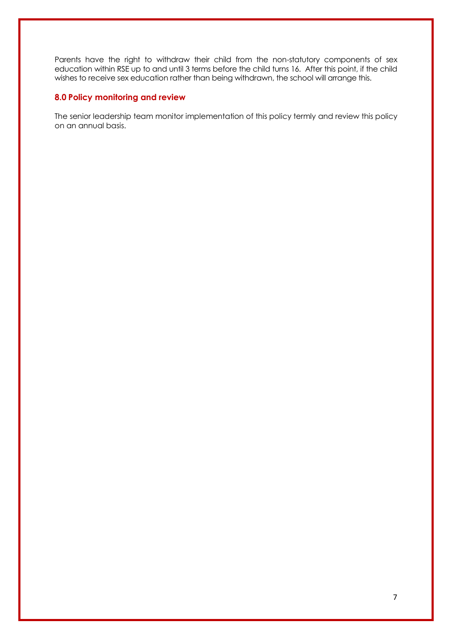Parents have the right to withdraw their child from the non-statutory components of sex education within RSE up to and until 3 terms before the child turns 16. After this point, if the child wishes to receive sex education rather than being withdrawn, the school will arrange this.

# **8.0 Policy monitoring and review**

The senior leadership team monitor implementation of this policy termly and review this policy on an annual basis.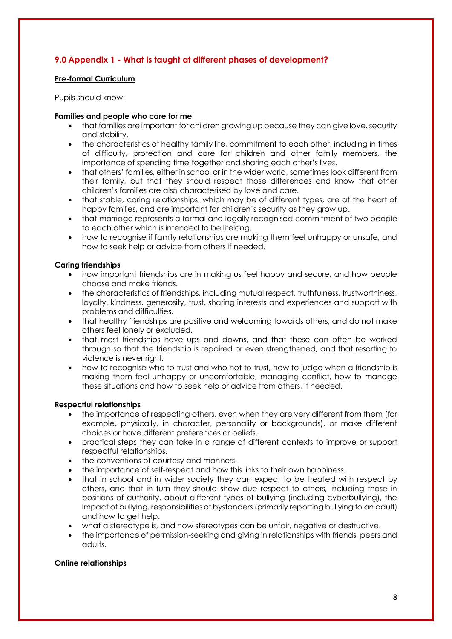# **9.0 Appendix 1 - What is taught at different phases of development?**

# **Pre-formal Curriculum**

Pupils should know:

#### **Families and people who care for me**

- that families are important for children growing up because they can give love, security and stability.
- the characteristics of healthy family life, commitment to each other, including in times of difficulty, protection and care for children and other family members, the importance of spending time together and sharing each other's lives.
- that others' families, either in school or in the wider world, sometimes look different from their family, but that they should respect those differences and know that other children's families are also characterised by love and care.
- that stable, caring relationships, which may be of different types, are at the heart of happy families, and are important for children's security as they grow up.
- that marriage represents a formal and legally recognised commitment of two people to each other which is intended to be lifelong.
- how to recognise if family relationships are making them feel unhappy or unsafe, and how to seek help or advice from others if needed.

#### **Caring friendships**

- how important friendships are in making us feel happy and secure, and how people choose and make friends.
- the characteristics of friendships, including mutual respect, truthfulness, trustworthiness, loyalty, kindness, generosity, trust, sharing interests and experiences and support with problems and difficulties.
- that healthy friendships are positive and welcoming towards others, and do not make others feel lonely or excluded.
- that most friendships have ups and downs, and that these can often be worked through so that the friendship is repaired or even strengthened, and that resorting to violence is never right.
- how to recognise who to trust and who not to trust, how to judge when a friendship is making them feel unhappy or uncomfortable, managing conflict, how to manage these situations and how to seek help or advice from others, if needed.

#### **Respectful relationships**

- the importance of respecting others, even when they are very different from them (for example, physically, in character, personality or backgrounds), or make different choices or have different preferences or beliefs.
- practical steps they can take in a range of different contexts to improve or support respectful relationships.
- the conventions of courtesy and manners.
- the importance of self-respect and how this links to their own happiness.
- that in school and in wider society they can expect to be treated with respect by others, and that in turn they should show due respect to others, including those in positions of authority. about different types of bullying (including cyberbullying), the impact of bullying, responsibilities of bystanders (primarily reporting bullying to an adult) and how to get help.
- what a stereotype is, and how stereotypes can be unfair, negative or destructive.
- the importance of permission-seeking and giving in relationships with friends, peers and adults.

#### **Online relationships**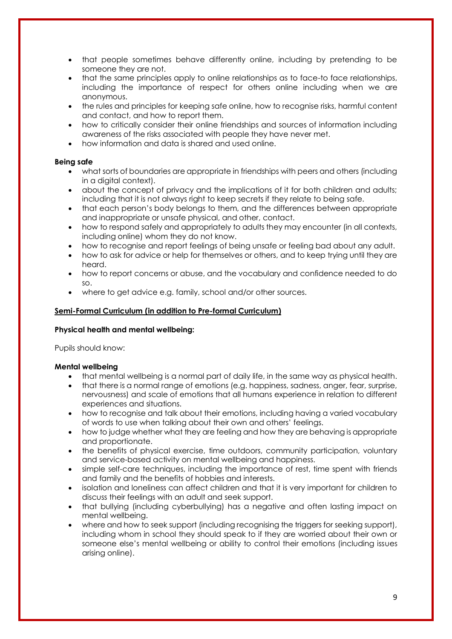- that people sometimes behave differently online, including by pretending to be someone they are not.
- that the same principles apply to online relationships as to face-to face relationships, including the importance of respect for others online including when we are anonymous.
- the rules and principles for keeping safe online, how to recognise risks, harmful content and contact, and how to report them.
- how to critically consider their online friendships and sources of information including awareness of the risks associated with people they have never met.
- how information and data is shared and used online.

# **Being safe**

- what sorts of boundaries are appropriate in friendships with peers and others (including in a digital context).
- about the concept of privacy and the implications of it for both children and adults; including that it is not always right to keep secrets if they relate to being safe.
- that each person's body belongs to them, and the differences between appropriate and inappropriate or unsafe physical, and other, contact.
- how to respond safely and appropriately to adults they may encounter (in all contexts, including online) whom they do not know.
- how to recognise and report feelings of being unsafe or feeling bad about any adult.
- how to ask for advice or help for themselves or others, and to keep trying until they are heard.
- how to report concerns or abuse, and the vocabulary and confidence needed to do so.
- where to get advice e.g. family, school and/or other sources.

# **Semi-Formal Curriculum (in addition to Pre-formal Curriculum)**

#### **Physical health and mental wellbeing:**

Pupils should know:

#### **Mental wellbeing**

- that mental wellbeing is a normal part of daily life, in the same way as physical health.
- that there is a normal range of emotions (e.g. happiness, sadness, anger, fear, surprise, nervousness) and scale of emotions that all humans experience in relation to different experiences and situations.
- how to recognise and talk about their emotions, including having a varied vocabulary of words to use when talking about their own and others' feelings.
- how to judge whether what they are feeling and how they are behaving is appropriate and proportionate.
- the benefits of physical exercise, time outdoors, community participation, voluntary and service-based activity on mental wellbeing and happiness.
- simple self-care techniques, including the importance of rest, time spent with friends and family and the benefits of hobbies and interests.
- isolation and loneliness can affect children and that it is very important for children to discuss their feelings with an adult and seek support.
- that bullying (including cyberbullying) has a negative and often lasting impact on mental wellbeing.
- where and how to seek support (including recognising the triggers for seeking support), including whom in school they should speak to if they are worried about their own or someone else's mental wellbeing or ability to control their emotions (including issues arising online).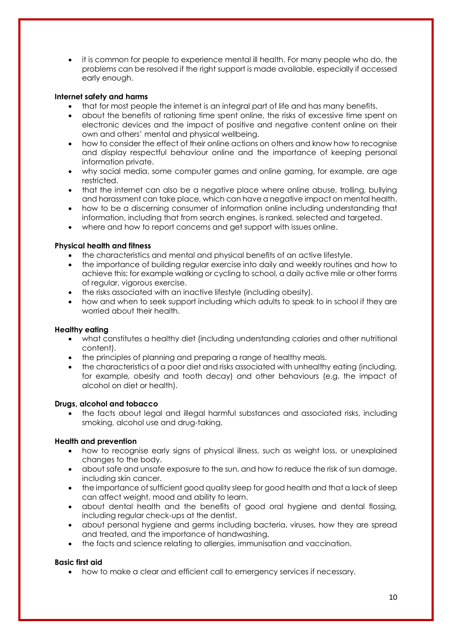• it is common for people to experience mental ill health. For many people who do, the problems can be resolved if the right support is made available, especially if accessed early enough.

# **Internet safety and harms**

- that for most people the internet is an integral part of life and has many benefits.
- about the benefits of rationing time spent online, the risks of excessive time spent on electronic devices and the impact of positive and negative content online on their own and others' mental and physical wellbeing.
- how to consider the effect of their online actions on others and know how to recognise and display respectful behaviour online and the importance of keeping personal information private.
- why social media, some computer games and online gaming, for example, are age restricted.
- that the internet can also be a negative place where online abuse, trolling, bullying and harassment can take place, which can have a negative impact on mental health.
- how to be a discerning consumer of information online including understanding that information, including that from search engines, is ranked, selected and targeted.
- where and how to report concerns and get support with issues online.

# **Physical health and fitness**

- the characteristics and mental and physical benefits of an active lifestyle.
- the importance of building regular exercise into daily and weekly routines and how to achieve this; for example walking or cycling to school, a daily active mile or other forms of regular, vigorous exercise.
- the risks associated with an inactive lifestyle (including obesity).
- how and when to seek support including which adults to speak to in school if they are worried about their health.

#### **Healthy eating**

- what constitutes a healthy diet (including understanding calories and other nutritional content).
- the principles of planning and preparing a range of healthy meals.
- the characteristics of a poor diet and risks associated with unhealthy eating (including, for example, obesity and tooth decay) and other behaviours (e.g. the impact of alcohol on diet or health).

#### **Drugs, alcohol and tobacco**

• the facts about legal and illegal harmful substances and associated risks, including smoking, alcohol use and drug-taking.

#### **Health and prevention**

- how to recognise early signs of physical illness, such as weight loss, or unexplained changes to the body.
- about safe and unsafe exposure to the sun, and how to reduce the risk of sun damage, including skin cancer.
- the importance of sufficient good quality sleep for good health and that a lack of sleep can affect weight, mood and ability to learn.
- about dental health and the benefits of good oral hygiene and dental flossing, including regular check-ups at the dentist.
- about personal hygiene and germs including bacteria, viruses, how they are spread and treated, and the importance of handwashing.
- the facts and science relating to allergies, immunisation and vaccination.

#### **Basic first aid**

• how to make a clear and efficient call to emergency services if necessary.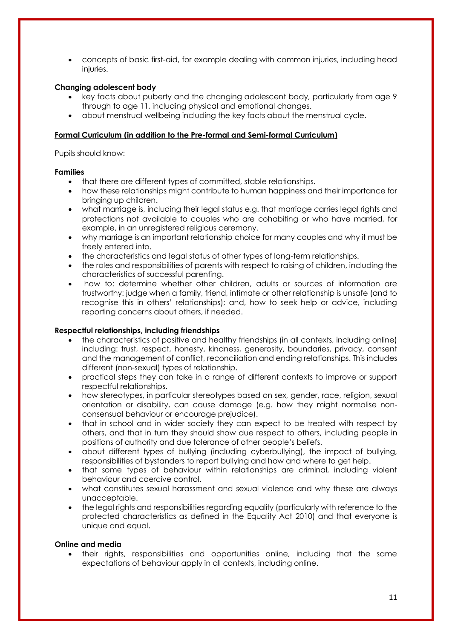• concepts of basic first-aid, for example dealing with common injuries, including head injuries.

# **Changing adolescent body**

- key facts about puberty and the changing adolescent body, particularly from age 9 through to age 11, including physical and emotional changes.
- about menstrual wellbeing including the key facts about the menstrual cycle.

#### **Formal Curriculum (in addition to the Pre-formal and Semi-formal Curriculum)**

Pupils should know:

#### **Families**

- that there are different types of committed, stable relationships.
- how these relationships might contribute to human happiness and their importance for bringing up children.
- what marriage is, including their legal status e.g. that marriage carries legal rights and protections not available to couples who are cohabiting or who have married, for example, in an unregistered religious ceremony.
- why marriage is an important relationship choice for many couples and why it must be freely entered into.
- the characteristics and legal status of other types of long-term relationships.
- the roles and responsibilities of parents with respect to raising of children, including the characteristics of successful parenting.
- how to: determine whether other children, adults or sources of information are trustworthy: judge when a family, friend, intimate or other relationship is unsafe (and to recognise this in others' relationships); and, how to seek help or advice, including reporting concerns about others, if needed.

#### **Respectful relationships, including friendships**

- the characteristics of positive and healthy friendships (in all contexts, including online) including: trust, respect, honesty, kindness, generosity, boundaries, privacy, consent and the management of conflict, reconciliation and ending relationships. This includes different (non-sexual) types of relationship.
- practical steps they can take in a range of different contexts to improve or support respectful relationships.
- how stereotypes, in particular stereotypes based on sex, gender, race, religion, sexual orientation or disability, can cause damage (e.g. how they might normalise nonconsensual behaviour or encourage prejudice).
- that in school and in wider society they can expect to be treated with respect by others, and that in turn they should show due respect to others, including people in positions of authority and due tolerance of other people's beliefs.
- about different types of bullying (including cyberbullying), the impact of bullying, responsibilities of bystanders to report bullying and how and where to get help.
- that some types of behaviour within relationships are criminal, including violent behaviour and coercive control.
- what constitutes sexual harassment and sexual violence and why these are always unacceptable.
- the legal rights and responsibilities regarding equality (particularly with reference to the protected characteristics as defined in the Equality Act 2010) and that everyone is unique and equal.

#### **Online and media**

• their rights, responsibilities and opportunities online, including that the same expectations of behaviour apply in all contexts, including online.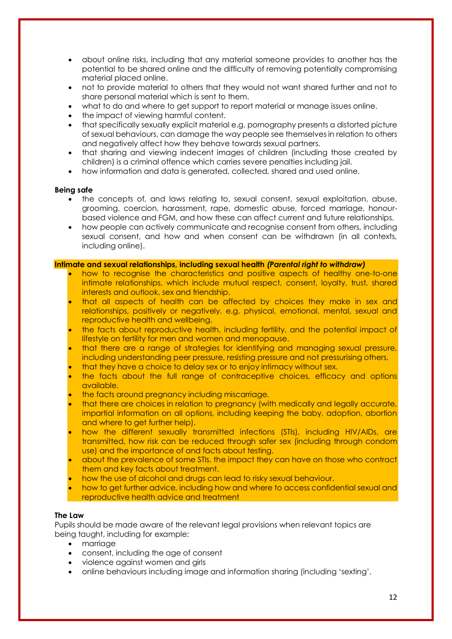- about online risks, including that any material someone provides to another has the potential to be shared online and the difficulty of removing potentially compromising material placed online.
- not to provide material to others that they would not want shared further and not to share personal material which is sent to them.
- what to do and where to get support to report material or manage issues online.
- the impact of viewing harmful content.
- that specifically sexually explicit material e.g. pornography presents a distorted picture of sexual behaviours, can damage the way people see themselves in relation to others and negatively affect how they behave towards sexual partners.
- that sharing and viewing indecent images of children (including those created by children) is a criminal offence which carries severe penalties including jail.
- how information and data is generated, collected, shared and used online.

#### **Being safe**

- the concepts of, and laws relating to, sexual consent, sexual exploitation, abuse, grooming, coercion, harassment, rape, domestic abuse, forced marriage, honourbased violence and FGM, and how these can affect current and future relationships.
- how people can actively communicate and recognise consent from others, including sexual consent, and how and when consent can be withdrawn (in all contexts, including online).

#### **Intimate and sexual relationships, including sexual health** *(Parental right to withdraw)*

- how to recognise the characteristics and positive aspects of healthy one-to-one intimate relationships, which include mutual respect, consent, loyalty, trust, shared interests and outlook, sex and friendship.
- that all aspects of health can be affected by choices they make in sex and relationships, positively or negatively, e.g. physical, emotional, mental, sexual and reproductive health and wellbeing.
- the facts about reproductive health, including fertility, and the potential impact of lifestyle on fertility for men and women and menopause.
- that there are a range of strategies for identifying and managing sexual pressure, including understanding peer pressure, resisting pressure and not pressurising others.
- that they have a choice to delay sex or to enjoy intimacy without sex.
- the facts about the full range of contraceptive choices, efficacy and options available.
- the facts around pregnancy including miscarriage.
- that there are choices in relation to pregnancy (with medically and legally accurate, impartial information on all options, including keeping the baby, adoption, abortion and where to get further help).
- how the different sexually transmitted infections (STIs), including HIV/AIDs, are transmitted, how risk can be reduced through safer sex (including through condom use) and the importance of and facts about testing.
- about the prevalence of some STIs, the impact they can have on those who contract them and key facts about treatment.
- how the use of alcohol and drugs can lead to risky sexual behaviour.
- how to get further advice, including how and where to access confidential sexual and reproductive health advice and treatment

#### **The Law**

Pupils should be made aware of the relevant legal provisions when relevant topics are being taught, including for example:

- marriage
- consent, including the age of consent
- violence against women and girls
- online behaviours including image and information sharing (including 'sexting',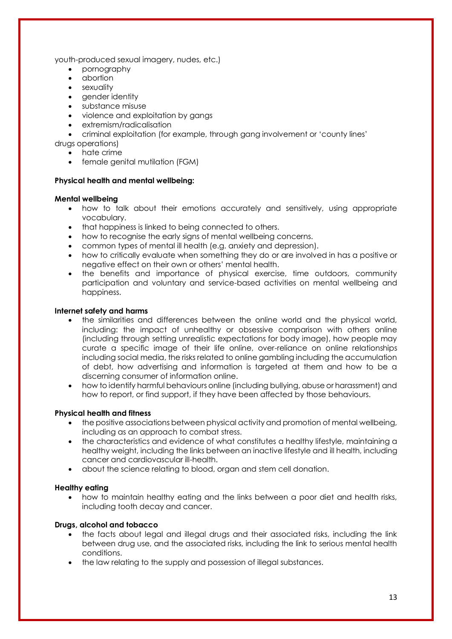youth-produced sexual imagery, nudes, etc.)

- pornography
- abortion
- sexuality
- gender identity
- substance misuse
- violence and exploitation by gangs
- extremism/radicalisation
- criminal exploitation (for example, through gang involvement or 'county lines'
- drugs operations)
	- hate crime
	- female genital mutilation (FGM)

# **Physical health and mental wellbeing:**

#### **Mental wellbeing**

- how to talk about their emotions accurately and sensitively, using appropriate vocabulary.
- that happiness is linked to being connected to others.
- how to recognise the early signs of mental wellbeing concerns.
- common types of mental ill health (e.g. anxiety and depression).
- how to critically evaluate when something they do or are involved in has a positive or negative effect on their own or others' mental health.
- the benefits and importance of physical exercise, time outdoors, community participation and voluntary and service-based activities on mental wellbeing and happiness.

#### **Internet safety and harms**

- the similarities and differences between the online world and the physical world, including: the impact of unhealthy or obsessive comparison with others online (including through setting unrealistic expectations for body image), how people may curate a specific image of their life online, over-reliance on online relationships including social media, the risks related to online gambling including the accumulation of debt, how advertising and information is targeted at them and how to be a discerning consumer of information online.
- how to identify harmful behaviours online (including bullying, abuse or harassment) and how to report, or find support, if they have been affected by those behaviours.

#### **Physical health and fitness**

- the positive associations between physical activity and promotion of mental wellbeing, including as an approach to combat stress.
- the characteristics and evidence of what constitutes a healthy lifestyle, maintaining a healthy weight, including the links between an inactive lifestyle and ill health, including cancer and cardiovascular ill-health.
- about the science relating to blood, organ and stem cell donation.

#### **Healthy eating**

• how to maintain healthy eating and the links between a poor diet and health risks, including tooth decay and cancer.

#### **Drugs, alcohol and tobacco**

- the facts about legal and illegal drugs and their associated risks, including the link between drug use, and the associated risks, including the link to serious mental health conditions.
- the law relating to the supply and possession of illegal substances.